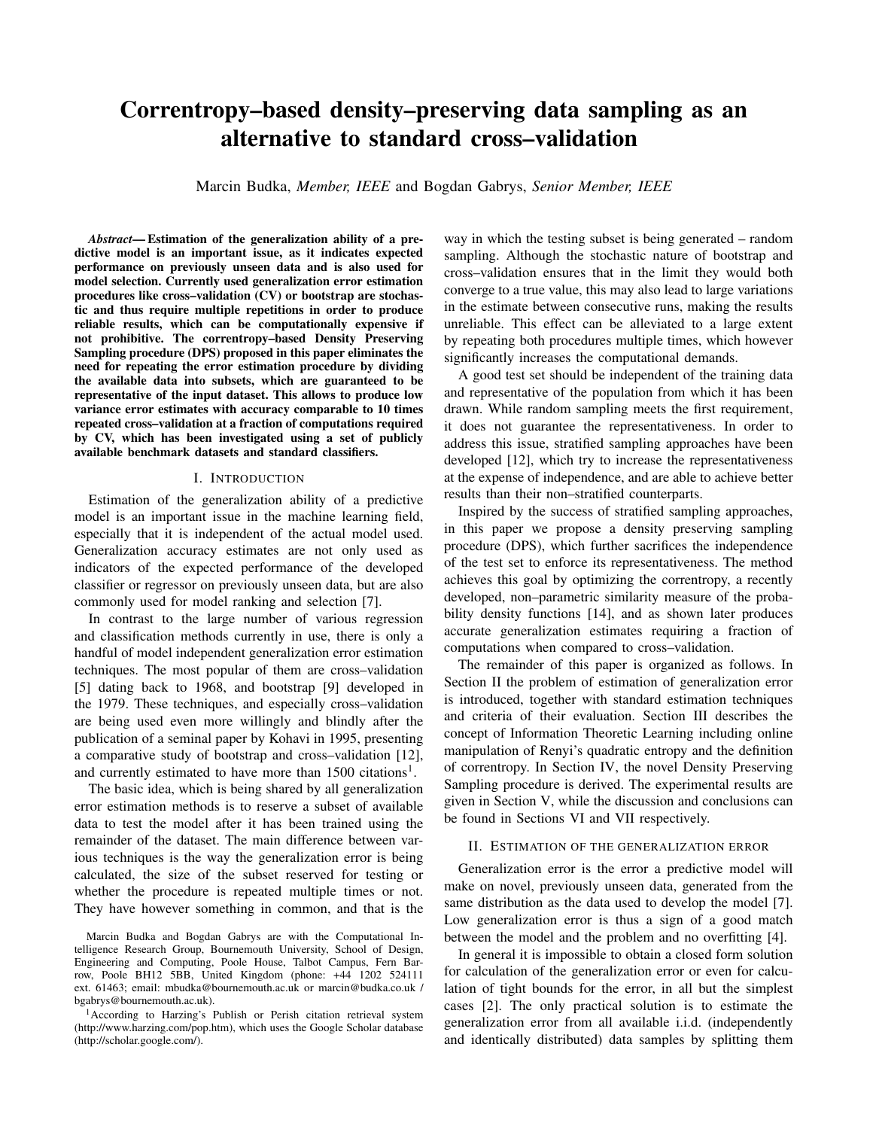# **Correntropy–based density–preserving data sampling as an alternative to standard cross–validation**

Marcin Budka, *Member, IEEE* and Bogdan Gabrys, *Senior Member, IEEE*

*Abstract***— Estimation of the generalization ability of a predictive model is an important issue, as it indicates expected performance on previously unseen data and is also used for model selection. Currently used generalization error estimation procedures like cross–validation (CV) or bootstrap are stochastic and thus require multiple repetitions in order to produce reliable results, which can be computationally expensive if not prohibitive. The correntropy–based Density Preserving Sampling procedure (DPS) proposed in this paper eliminates the need for repeating the error estimation procedure by dividing the available data into subsets, which are guaranteed to be representative of the input dataset. This allows to produce low variance error estimates with accuracy comparable to 10 times repeated cross–validation at a fraction of computations required by CV, which has been investigated using a set of publicly available benchmark datasets and standard classifiers.**

## I. INTRODUCTION

Estimation of the generalization ability of a predictive model is an important issue in the machine learning field, especially that it is independent of the actual model used. Generalization accuracy estimates are not only used as indicators of the expected performance of the developed classifier or regressor on previously unseen data, but are also commonly used for model ranking and selection [7].

In contrast to the large number of various regression and classification methods currently in use, there is only a handful of model independent generalization error estimation techniques. The most popular of them are cross–validation [5] dating back to 1968, and bootstrap [9] developed in the 1979. These techniques, and especially cross–validation are being used even more willingly and blindly after the publication of a seminal paper by Kohavi in 1995, presenting a comparative study of bootstrap and cross–validation [12], and currently estimated to have more than  $1500$  citations<sup>1</sup>.

The basic idea, which is being shared by all generalization error estimation methods is to reserve a subset of available data to test the model after it has been trained using the remainder of the dataset. The main difference between various techniques is the way the generalization error is being calculated, the size of the subset reserved for testing or whether the procedure is repeated multiple times or not. They have however something in common, and that is the way in which the testing subset is being generated – random sampling. Although the stochastic nature of bootstrap and cross–validation ensures that in the limit they would both converge to a true value, this may also lead to large variations in the estimate between consecutive runs, making the results unreliable. This effect can be alleviated to a large extent by repeating both procedures multiple times, which however significantly increases the computational demands.

A good test set should be independent of the training data and representative of the population from which it has been drawn. While random sampling meets the first requirement, it does not guarantee the representativeness. In order to address this issue, stratified sampling approaches have been developed [12], which try to increase the representativeness at the expense of independence, and are able to achieve better results than their non–stratified counterparts.

Inspired by the success of stratified sampling approaches, in this paper we propose a density preserving sampling procedure (DPS), which further sacrifices the independence of the test set to enforce its representativeness. The method achieves this goal by optimizing the correntropy, a recently developed, non–parametric similarity measure of the probability density functions [14], and as shown later produces accurate generalization estimates requiring a fraction of computations when compared to cross–validation.

The remainder of this paper is organized as follows. In Section II the problem of estimation of generalization error is introduced, together with standard estimation techniques and criteria of their evaluation. Section III describes the concept of Information Theoretic Learning including online manipulation of Renyi's quadratic entropy and the definition of correntropy. In Section IV, the novel Density Preserving Sampling procedure is derived. The experimental results are given in Section V, while the discussion and conclusions can be found in Sections VI and VII respectively.

## II. ESTIMATION OF THE GENERALIZATION ERROR

Generalization error is the error a predictive model will make on novel, previously unseen data, generated from the same distribution as the data used to develop the model [7]. Low generalization error is thus a sign of a good match between the model and the problem and no overfitting [4].

In general it is impossible to obtain a closed form solution for calculation of the generalization error or even for calculation of tight bounds for the error, in all but the simplest cases [2]. The only practical solution is to estimate the generalization error from all available i.i.d. (independently and identically distributed) data samples by splitting them

Marcin Budka and Bogdan Gabrys are with the Computational Intelligence Research Group, Bournemouth University, School of Design, Engineering and Computing, Poole House, Talbot Campus, Fern Barrow, Poole BH12 5BB, United Kingdom (phone: +44 1202 524111 ext. 61463; email: mbudka@bournemouth.ac.uk or marcin@budka.co.uk / bgabrys@bournemouth.ac.uk).

<sup>&</sup>lt;sup>1</sup> According to Harzing's Publish or Perish citation retrieval system (http://www.harzing.com/pop.htm), which uses the Google Scholar database (http://scholar.google.com/).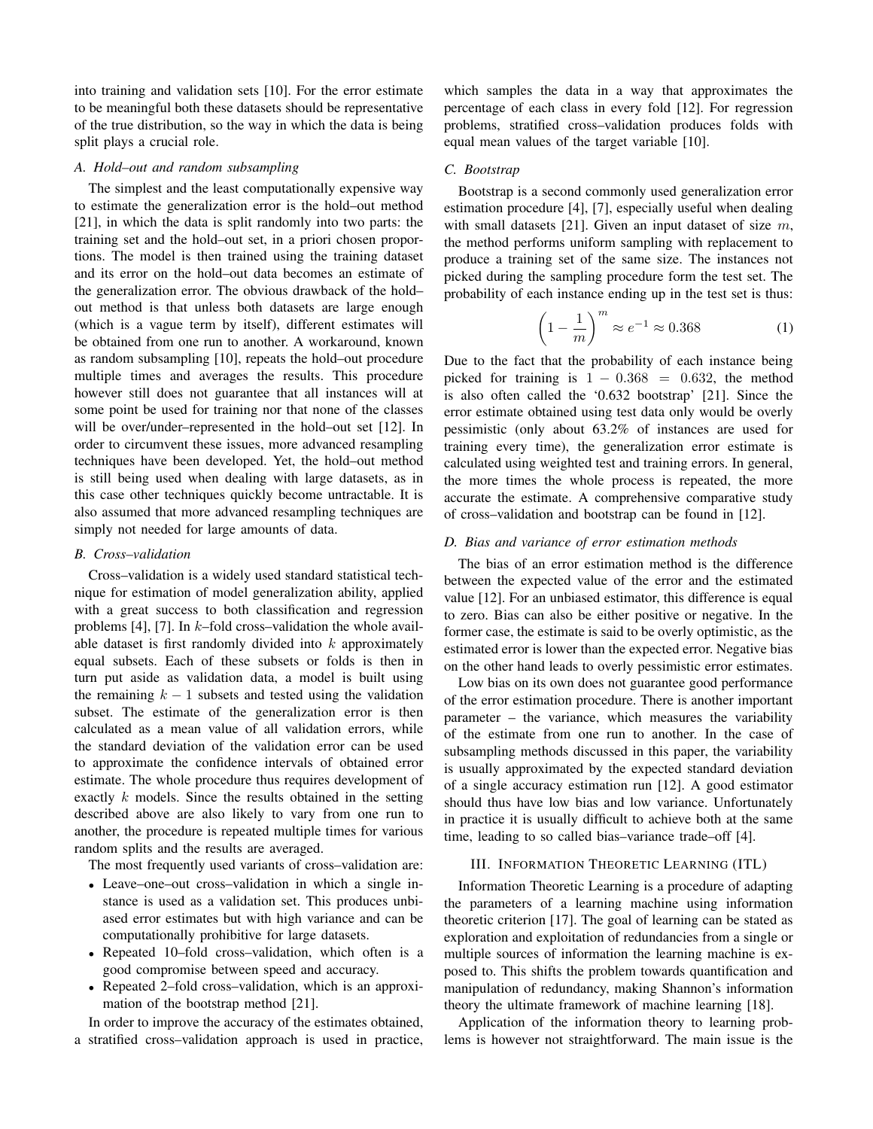into training and validation sets [10]. For the error estimate to be meaningful both these datasets should be representative of the true distribution, so the way in which the data is being split plays a crucial role.

# *A. Hold–out and random subsampling*

The simplest and the least computationally expensive way to estimate the generalization error is the hold–out method [21], in which the data is split randomly into two parts: the training set and the hold–out set, in a priori chosen proportions. The model is then trained using the training dataset and its error on the hold–out data becomes an estimate of the generalization error. The obvious drawback of the hold– out method is that unless both datasets are large enough (which is a vague term by itself), different estimates will be obtained from one run to another. A workaround, known as random subsampling [10], repeats the hold–out procedure multiple times and averages the results. This procedure however still does not guarantee that all instances will at some point be used for training nor that none of the classes will be over/under–represented in the hold–out set [12]. In order to circumvent these issues, more advanced resampling techniques have been developed. Yet, the hold–out method is still being used when dealing with large datasets, as in this case other techniques quickly become untractable. It is also assumed that more advanced resampling techniques are simply not needed for large amounts of data.

# *B. Cross–validation*

Cross–validation is a widely used standard statistical technique for estimation of model generalization ability, applied with a great success to both classification and regression problems [4], [7]. In  $k$ -fold cross-validation the whole available dataset is first randomly divided into  $k$  approximately equal subsets. Each of these subsets or folds is then in turn put aside as validation data, a model is built using the remaining  $k - 1$  subsets and tested using the validation subset. The estimate of the generalization error is then calculated as a mean value of all validation errors, while the standard deviation of the validation error can be used to approximate the confidence intervals of obtained error estimate. The whole procedure thus requires development of exactly k models. Since the results obtained in the setting described above are also likely to vary from one run to another, the procedure is repeated multiple times for various random splits and the results are averaged.

The most frequently used variants of cross–validation are:

- Leave–one–out cross–validation in which a single instance is used as a validation set. This produces unbiased error estimates but with high variance and can be computationally prohibitive for large datasets.
- Repeated 10–fold cross–validation, which often is a good compromise between speed and accuracy.
- Repeated 2–fold cross–validation, which is an approximation of the bootstrap method [21].

In order to improve the accuracy of the estimates obtained, a stratified cross–validation approach is used in practice, which samples the data in a way that approximates the percentage of each class in every fold [12]. For regression problems, stratified cross–validation produces folds with equal mean values of the target variable [10].

# *C. Bootstrap*

Bootstrap is a second commonly used generalization error estimation procedure [4], [7], especially useful when dealing with small datasets [21]. Given an input dataset of size  $m$ , the method performs uniform sampling with replacement to produce a training set of the same size. The instances not picked during the sampling procedure form the test set. The probability of each instance ending up in the test set is thus:

$$
\left(1 - \frac{1}{m}\right)^m \approx e^{-1} \approx 0.368\tag{1}
$$

Due to the fact that the probability of each instance being picked for training is  $1 - 0.368 = 0.632$ , the method is also often called the '0.632 bootstrap' [21]. Since the error estimate obtained using test data only would be overly pessimistic (only about 63.2% of instances are used for training every time), the generalization error estimate is calculated using weighted test and training errors. In general, the more times the whole process is repeated, the more accurate the estimate. A comprehensive comparative study of cross–validation and bootstrap can be found in [12].

# *D. Bias and variance of error estimation methods*

The bias of an error estimation method is the difference between the expected value of the error and the estimated value [12]. For an unbiased estimator, this difference is equal to zero. Bias can also be either positive or negative. In the former case, the estimate is said to be overly optimistic, as the estimated error is lower than the expected error. Negative bias on the other hand leads to overly pessimistic error estimates.

Low bias on its own does not guarantee good performance of the error estimation procedure. There is another important parameter – the variance, which measures the variability of the estimate from one run to another. In the case of subsampling methods discussed in this paper, the variability is usually approximated by the expected standard deviation of a single accuracy estimation run [12]. A good estimator should thus have low bias and low variance. Unfortunately in practice it is usually difficult to achieve both at the same time, leading to so called bias–variance trade–off [4].

# III. INFORMATION THEORETIC LEARNING (ITL)

Information Theoretic Learning is a procedure of adapting the parameters of a learning machine using information theoretic criterion [17]. The goal of learning can be stated as exploration and exploitation of redundancies from a single or multiple sources of information the learning machine is exposed to. This shifts the problem towards quantification and manipulation of redundancy, making Shannon's information theory the ultimate framework of machine learning [18].

Application of the information theory to learning problems is however not straightforward. The main issue is the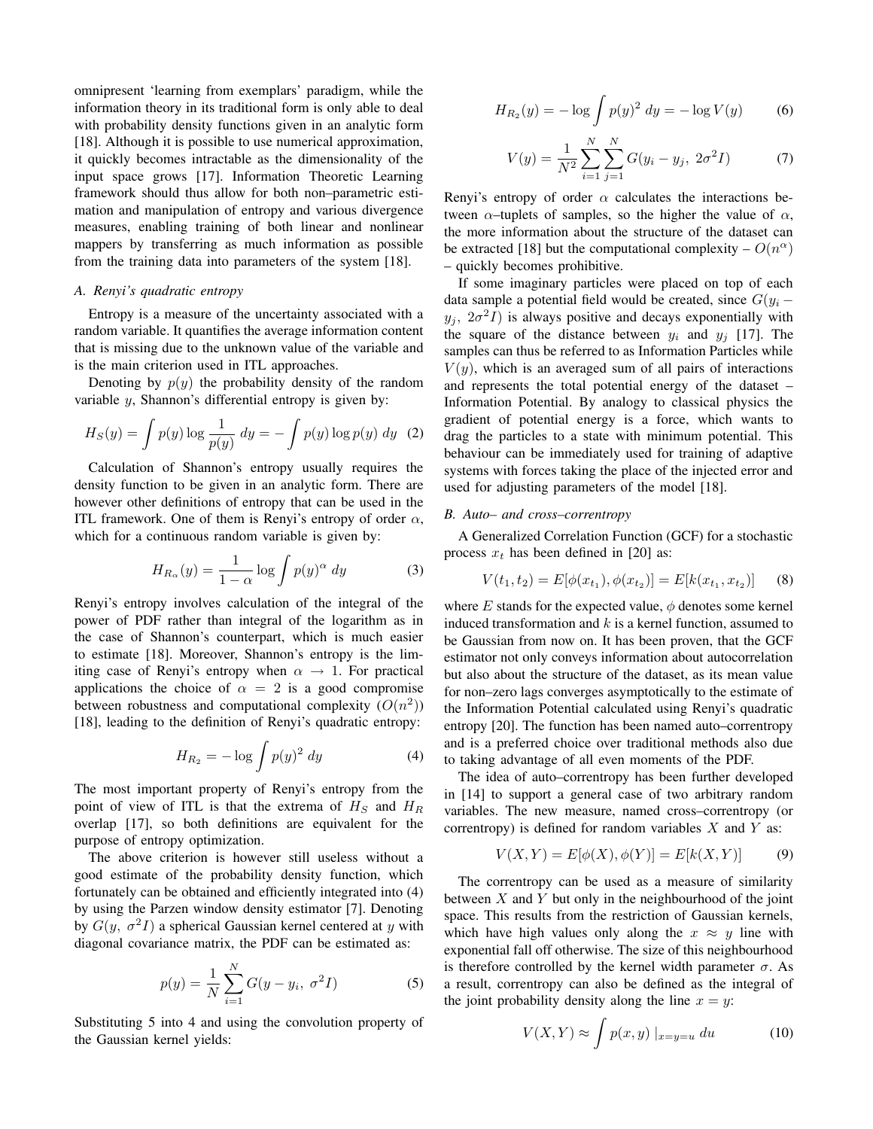omnipresent 'learning from exemplars' paradigm, while the information theory in its traditional form is only able to deal with probability density functions given in an analytic form [18]. Although it is possible to use numerical approximation, it quickly becomes intractable as the dimensionality of the input space grows [17]. Information Theoretic Learning framework should thus allow for both non–parametric estimation and manipulation of entropy and various divergence measures, enabling training of both linear and nonlinear mappers by transferring as much information as possible from the training data into parameters of the system [18].

## *A. Renyi's quadratic entropy*

Entropy is a measure of the uncertainty associated with a random variable. It quantifies the average information content that is missing due to the unknown value of the variable and is the main criterion used in ITL approaches.

Denoting by  $p(y)$  the probability density of the random variable y, Shannon's differential entropy is given by:

$$
H_S(y) = \int p(y) \log \frac{1}{p(y)} dy = -\int p(y) \log p(y) dy
$$
 (2)

Calculation of Shannon's entropy usually requires the density function to be given in an analytic form. There are however other definitions of entropy that can be used in the ITL framework. One of them is Renyi's entropy of order  $\alpha$ , which for a continuous random variable is given by:

$$
H_{R_{\alpha}}(y) = \frac{1}{1 - \alpha} \log \int p(y)^{\alpha} dy \qquad (3)
$$

Renyi's entropy involves calculation of the integral of the power of PDF rather than integral of the logarithm as in the case of Shannon's counterpart, which is much easier to estimate [18]. Moreover, Shannon's entropy is the limiting case of Renyi's entropy when  $\alpha \rightarrow 1$ . For practical applications the choice of  $\alpha = 2$  is a good compromise between robustness and computational complexity  $(O(n^2))$ [18], leading to the definition of Renyi's quadratic entropy:

$$
H_{R_2} = -\log \int p(y)^2 dy \qquad (4)
$$

The most important property of Renyi's entropy from the point of view of ITL is that the extrema of  $H<sub>S</sub>$  and  $H<sub>R</sub>$ overlap [17], so both definitions are equivalent for the purpose of entropy optimization.

The above criterion is however still useless without a good estimate of the probability density function, which fortunately can be obtained and efficiently integrated into (4) by using the Parzen window density estimator [7]. Denoting by  $G(y, \sigma^2 I)$  a spherical Gaussian kernel centered at y with diagonal covariance matrix, the PDF can be estimated as:

$$
p(y) = \frac{1}{N} \sum_{i=1}^{N} G(y - y_i, \sigma^2 I)
$$
 (5)

Substituting 5 into 4 and using the convolution property of the Gaussian kernel yields:

$$
H_{R_2}(y) = -\log \int p(y)^2 \, dy = -\log V(y) \tag{6}
$$

$$
V(y) = \frac{1}{N^2} \sum_{i=1}^{N} \sum_{j=1}^{N} G(y_i - y_j, 2\sigma^2 I)
$$
 (7)

Renyi's entropy of order  $\alpha$  calculates the interactions between  $\alpha$ -tuplets of samples, so the higher the value of  $\alpha$ , the more information about the structure of the dataset can be extracted [18] but the computational complexity –  $O(n^{\alpha})$ – quickly becomes prohibitive.

If some imaginary particles were placed on top of each data sample a potential field would be created, since  $G(y_i$  $y_i$ ,  $2\sigma^2I$ ) is always positive and decays exponentially with the square of the distance between  $y_i$  and  $y_j$  [17]. The samples can thus be referred to as Information Particles while  $V(y)$ , which is an averaged sum of all pairs of interactions and represents the total potential energy of the dataset – Information Potential. By analogy to classical physics the gradient of potential energy is a force, which wants to drag the particles to a state with minimum potential. This behaviour can be immediately used for training of adaptive systems with forces taking the place of the injected error and used for adjusting parameters of the model [18].

# *B. Auto– and cross–correntropy*

A Generalized Correlation Function (GCF) for a stochastic process  $x_t$  has been defined in [20] as:

$$
V(t_1, t_2) = E[\phi(x_{t_1}), \phi(x_{t_2})] = E[k(x_{t_1}, x_{t_2})]
$$
 (8)

where  $E$  stands for the expected value,  $\phi$  denotes some kernel induced transformation and  $k$  is a kernel function, assumed to be Gaussian from now on. It has been proven, that the GCF estimator not only conveys information about autocorrelation but also about the structure of the dataset, as its mean value for non–zero lags converges asymptotically to the estimate of the Information Potential calculated using Renyi's quadratic entropy [20]. The function has been named auto–correntropy and is a preferred choice over traditional methods also due to taking advantage of all even moments of the PDF.

The idea of auto–correntropy has been further developed in [14] to support a general case of two arbitrary random variables. The new measure, named cross–correntropy (or correntropy) is defined for random variables  $X$  and  $Y$  as:

$$
V(X,Y) = E[\phi(X), \phi(Y)] = E[k(X,Y)] \tag{9}
$$

The correntropy can be used as a measure of similarity between  $X$  and  $Y$  but only in the neighbourhood of the joint space. This results from the restriction of Gaussian kernels, which have high values only along the  $x \approx y$  line with exponential fall off otherwise. The size of this neighbourhood is therefore controlled by the kernel width parameter  $\sigma$ . As a result, correntropy can also be defined as the integral of the joint probability density along the line  $x = y$ :

$$
V(X,Y) \approx \int p(x,y) \mid_{x=y=u} du \tag{10}
$$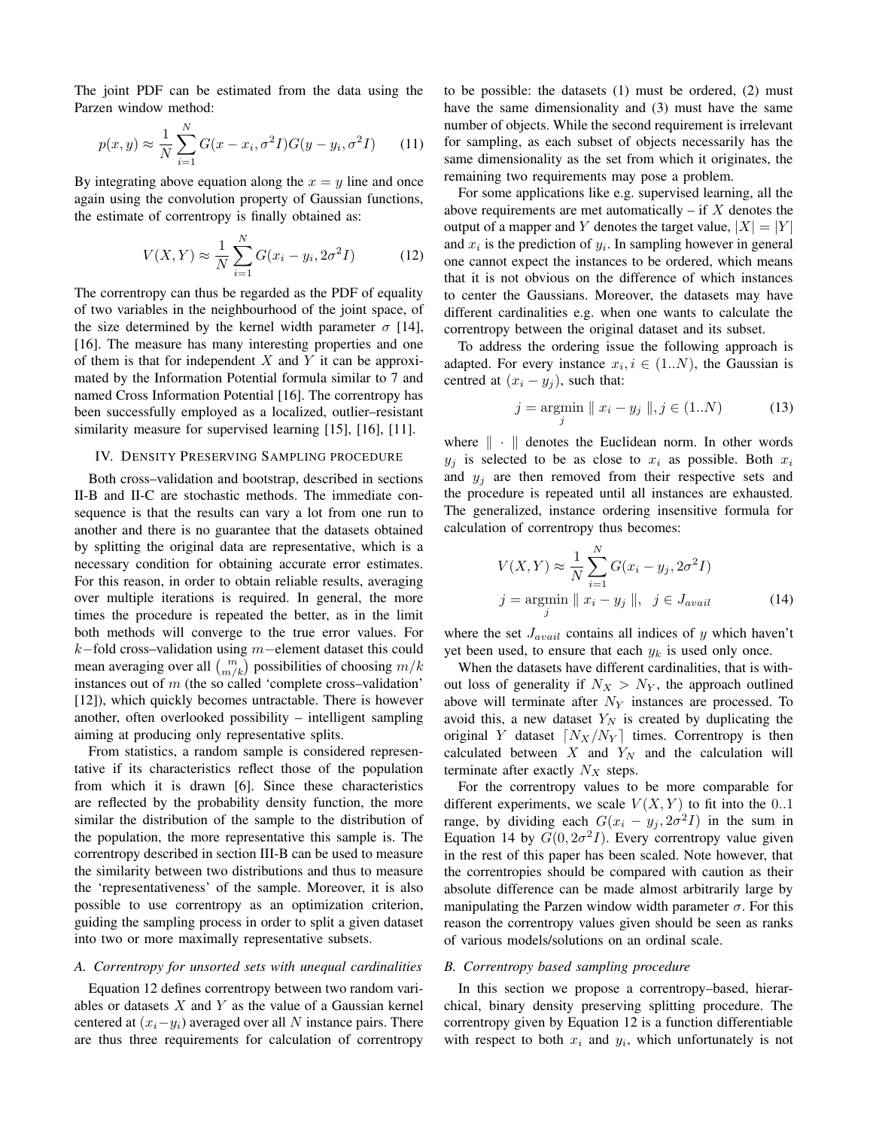The joint PDF can be estimated from the data using the Parzen window method:

$$
p(x, y) \approx \frac{1}{N} \sum_{i=1}^{N} G(x - x_i, \sigma^2 I) G(y - y_i, \sigma^2 I)
$$
 (11)

By integrating above equation along the  $x = y$  line and once again using the convolution property of Gaussian functions, the estimate of correntropy is finally obtained as:

$$
V(X,Y) \approx \frac{1}{N} \sum_{i=1}^{N} G(x_i - y_i, 2\sigma^2 I)
$$
 (12)

The correntropy can thus be regarded as the PDF of equality of two variables in the neighbourhood of the joint space, of the size determined by the kernel width parameter  $\sigma$  [14], [16]. The measure has many interesting properties and one of them is that for independent  $X$  and  $Y$  it can be approximated by the Information Potential formula similar to 7 and named Cross Information Potential [16]. The correntropy has been successfully employed as a localized, outlier–resistant similarity measure for supervised learning [15], [16], [11].

#### IV. DENSITY PRESERVING SAMPLING PROCEDURE

Both cross–validation and bootstrap, described in sections II-B and II-C are stochastic methods. The immediate consequence is that the results can vary a lot from one run to another and there is no guarantee that the datasets obtained by splitting the original data are representative, which is a necessary condition for obtaining accurate error estimates. For this reason, in order to obtain reliable results, averaging over multiple iterations is required. In general, the more times the procedure is repeated the better, as in the limit both methods will converge to the true error values. For k−fold cross–validation using m−element dataset this could mean averaging over all  $\binom{m}{m/k}$  possibilities of choosing  $m/k$ instances out of  $m$  (the so called 'complete cross–validation' [12]), which quickly becomes untractable. There is however another, often overlooked possibility – intelligent sampling aiming at producing only representative splits.

From statistics, a random sample is considered representative if its characteristics reflect those of the population from which it is drawn [6]. Since these characteristics are reflected by the probability density function, the more similar the distribution of the sample to the distribution of the population, the more representative this sample is. The correntropy described in section III-B can be used to measure the similarity between two distributions and thus to measure the 'representativeness' of the sample. Moreover, it is also possible to use correntropy as an optimization criterion, guiding the sampling process in order to split a given dataset into two or more maximally representative subsets.

## *A. Correntropy for unsorted sets with unequal cardinalities*

Equation 12 defines correntropy between two random variables or datasets  $X$  and  $Y$  as the value of a Gaussian kernel centered at  $(x_i-y_i)$  averaged over all N instance pairs. There are thus three requirements for calculation of correntropy

to be possible: the datasets (1) must be ordered, (2) must have the same dimensionality and (3) must have the same number of objects. While the second requirement is irrelevant for sampling, as each subset of objects necessarily has the same dimensionality as the set from which it originates, the remaining two requirements may pose a problem.

For some applications like e.g. supervised learning, all the above requirements are met automatically – if  $X$  denotes the output of a mapper and Y denotes the target value,  $|X| = |Y|$ and  $x_i$  is the prediction of  $y_i$ . In sampling however in general one cannot expect the instances to be ordered, which means that it is not obvious on the difference of which instances to center the Gaussians. Moreover, the datasets may have different cardinalities e.g. when one wants to calculate the correntropy between the original dataset and its subset.

To address the ordering issue the following approach is adapted. For every instance  $x_i, i \in (1..N)$ , the Gaussian is centred at  $(x_i - y_j)$ , such that:

$$
j = \underset{j}{\text{argmin}} \parallel x_i - y_j \parallel, j \in (1..N) \tag{13}
$$

where  $\| \cdot \|$  denotes the Euclidean norm. In other words  $y_j$  is selected to be as close to  $x_i$  as possible. Both  $x_i$ and  $y_i$  are then removed from their respective sets and the procedure is repeated until all instances are exhausted. The generalized, instance ordering insensitive formula for calculation of correntropy thus becomes:

$$
V(X, Y) \approx \frac{1}{N} \sum_{i=1}^{N} G(x_i - y_j, 2\sigma^2 I)
$$
  

$$
j = \operatorname*{argmin}_{j} \| x_i - y_j \|, \quad j \in J_{avail}
$$
 (14)

where the set  $J_{avail}$  contains all indices of y which haven't yet been used, to ensure that each  $y_k$  is used only once.

When the datasets have different cardinalities, that is without loss of generality if  $N_X > N_Y$ , the approach outlined above will terminate after  $N_Y$  instances are processed. To avoid this, a new dataset  $Y_N$  is created by duplicating the original Y dataset  $\lceil N_X/N_Y \rceil$  times. Correntropy is then calculated between  $X$  and  $Y_N$  and the calculation will terminate after exactly  $N_X$  steps.

For the correntropy values to be more comparable for different experiments, we scale  $V(X, Y)$  to fit into the 0..1 range, by dividing each  $G(x_i - y_j, 2\sigma^2 I)$  in the sum in Equation 14 by  $G(0, 2\sigma^2 I)$ . Every correntropy value given in the rest of this paper has been scaled. Note however, that the correntropies should be compared with caution as their absolute difference can be made almost arbitrarily large by manipulating the Parzen window width parameter  $\sigma$ . For this reason the correntropy values given should be seen as ranks of various models/solutions on an ordinal scale.

## *B. Correntropy based sampling procedure*

In this section we propose a correntropy–based, hierarchical, binary density preserving splitting procedure. The correntropy given by Equation 12 is a function differentiable with respect to both  $x_i$  and  $y_i$ , which unfortunately is not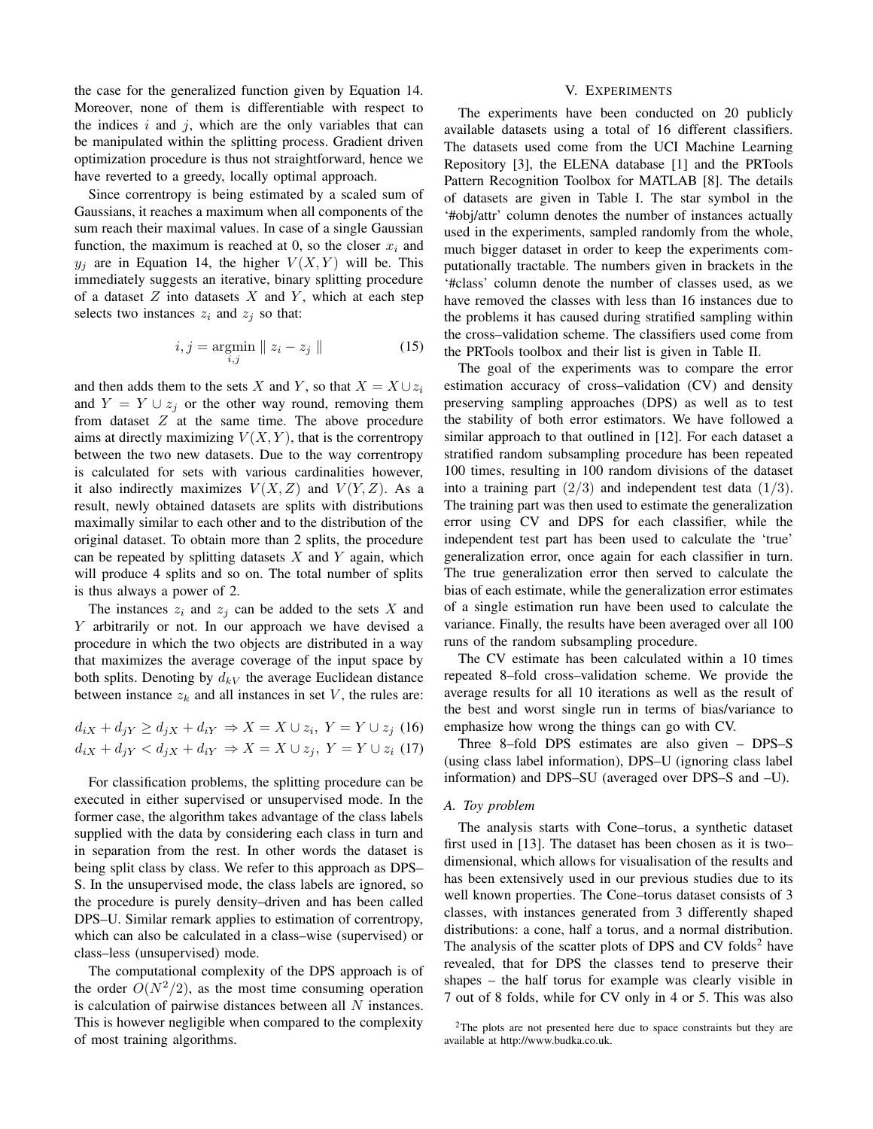the case for the generalized function given by Equation 14. Moreover, none of them is differentiable with respect to the indices  $i$  and  $j$ , which are the only variables that can be manipulated within the splitting process. Gradient driven optimization procedure is thus not straightforward, hence we have reverted to a greedy, locally optimal approach.

Since correntropy is being estimated by a scaled sum of Gaussians, it reaches a maximum when all components of the sum reach their maximal values. In case of a single Gaussian function, the maximum is reached at 0, so the closer  $x_i$  and  $y_i$  are in Equation 14, the higher  $V(X, Y)$  will be. This immediately suggests an iterative, binary splitting procedure of a dataset  $Z$  into datasets  $X$  and  $Y$ , which at each step selects two instances  $z_i$  and  $z_j$  so that:

$$
i, j = \underset{i,j}{\text{argmin}} \parallel z_i - z_j \parallel \tag{15}
$$

and then adds them to the sets X and Y, so that  $X = X \cup z_i$ and  $Y = Y \cup z_i$  or the other way round, removing them from dataset  $Z$  at the same time. The above procedure aims at directly maximizing  $V(X, Y)$ , that is the correntropy between the two new datasets. Due to the way correntropy is calculated for sets with various cardinalities however, it also indirectly maximizes  $V(X, Z)$  and  $V(Y, Z)$ . As a result, newly obtained datasets are splits with distributions maximally similar to each other and to the distribution of the original dataset. To obtain more than 2 splits, the procedure can be repeated by splitting datasets  $X$  and  $Y$  again, which will produce 4 splits and so on. The total number of splits is thus always a power of 2.

The instances  $z_i$  and  $z_j$  can be added to the sets X and Y arbitrarily or not. In our approach we have devised a procedure in which the two objects are distributed in a way that maximizes the average coverage of the input space by both splits. Denoting by  $d_{kV}$  the average Euclidean distance between instance  $z_k$  and all instances in set V, the rules are:

$$
d_{iX} + d_{jY} \ge d_{jX} + d_{iY} \Rightarrow X = X \cup z_i, Y = Y \cup z_j \tag{16}
$$
  

$$
d_{iX} + d_{jY} < d_{jX} + d_{iY} \Rightarrow X = X \cup z_j, Y = Y \cup z_i \tag{17}
$$

For classification problems, the splitting procedure can be executed in either supervised or unsupervised mode. In the former case, the algorithm takes advantage of the class labels supplied with the data by considering each class in turn and in separation from the rest. In other words the dataset is being split class by class. We refer to this approach as DPS– S. In the unsupervised mode, the class labels are ignored, so the procedure is purely density–driven and has been called DPS–U. Similar remark applies to estimation of correntropy, which can also be calculated in a class–wise (supervised) or class–less (unsupervised) mode.

The computational complexity of the DPS approach is of the order  $O(N^2/2)$ , as the most time consuming operation is calculation of pairwise distances between all N instances. This is however negligible when compared to the complexity of most training algorithms.

#### V. EXPERIMENTS

The experiments have been conducted on 20 publicly available datasets using a total of 16 different classifiers. The datasets used come from the UCI Machine Learning Repository [3], the ELENA database [1] and the PRTools Pattern Recognition Toolbox for MATLAB [8]. The details of datasets are given in Table I. The star symbol in the '#obj/attr' column denotes the number of instances actually used in the experiments, sampled randomly from the whole, much bigger dataset in order to keep the experiments computationally tractable. The numbers given in brackets in the '#class' column denote the number of classes used, as we have removed the classes with less than 16 instances due to the problems it has caused during stratified sampling within the cross–validation scheme. The classifiers used come from the PRTools toolbox and their list is given in Table II.

The goal of the experiments was to compare the error estimation accuracy of cross–validation (CV) and density preserving sampling approaches (DPS) as well as to test the stability of both error estimators. We have followed a similar approach to that outlined in [12]. For each dataset a stratified random subsampling procedure has been repeated 100 times, resulting in 100 random divisions of the dataset into a training part  $(2/3)$  and independent test data  $(1/3)$ . The training part was then used to estimate the generalization error using CV and DPS for each classifier, while the independent test part has been used to calculate the 'true' generalization error, once again for each classifier in turn. The true generalization error then served to calculate the bias of each estimate, while the generalization error estimates of a single estimation run have been used to calculate the variance. Finally, the results have been averaged over all 100 runs of the random subsampling procedure.

The CV estimate has been calculated within a 10 times repeated 8–fold cross–validation scheme. We provide the average results for all 10 iterations as well as the result of the best and worst single run in terms of bias/variance to emphasize how wrong the things can go with CV.

Three 8–fold DPS estimates are also given – DPS–S (using class label information), DPS–U (ignoring class label information) and DPS–SU (averaged over DPS–S and –U).

# *A. Toy problem*

The analysis starts with Cone–torus, a synthetic dataset first used in [13]. The dataset has been chosen as it is two– dimensional, which allows for visualisation of the results and has been extensively used in our previous studies due to its well known properties. The Cone–torus dataset consists of 3 classes, with instances generated from 3 differently shaped distributions: a cone, half a torus, and a normal distribution. The analysis of the scatter plots of DPS and CV folds<sup>2</sup> have revealed, that for DPS the classes tend to preserve their shapes – the half torus for example was clearly visible in 7 out of 8 folds, while for CV only in 4 or 5. This was also

<sup>2</sup>The plots are not presented here due to space constraints but they are available at http://www.budka.co.uk.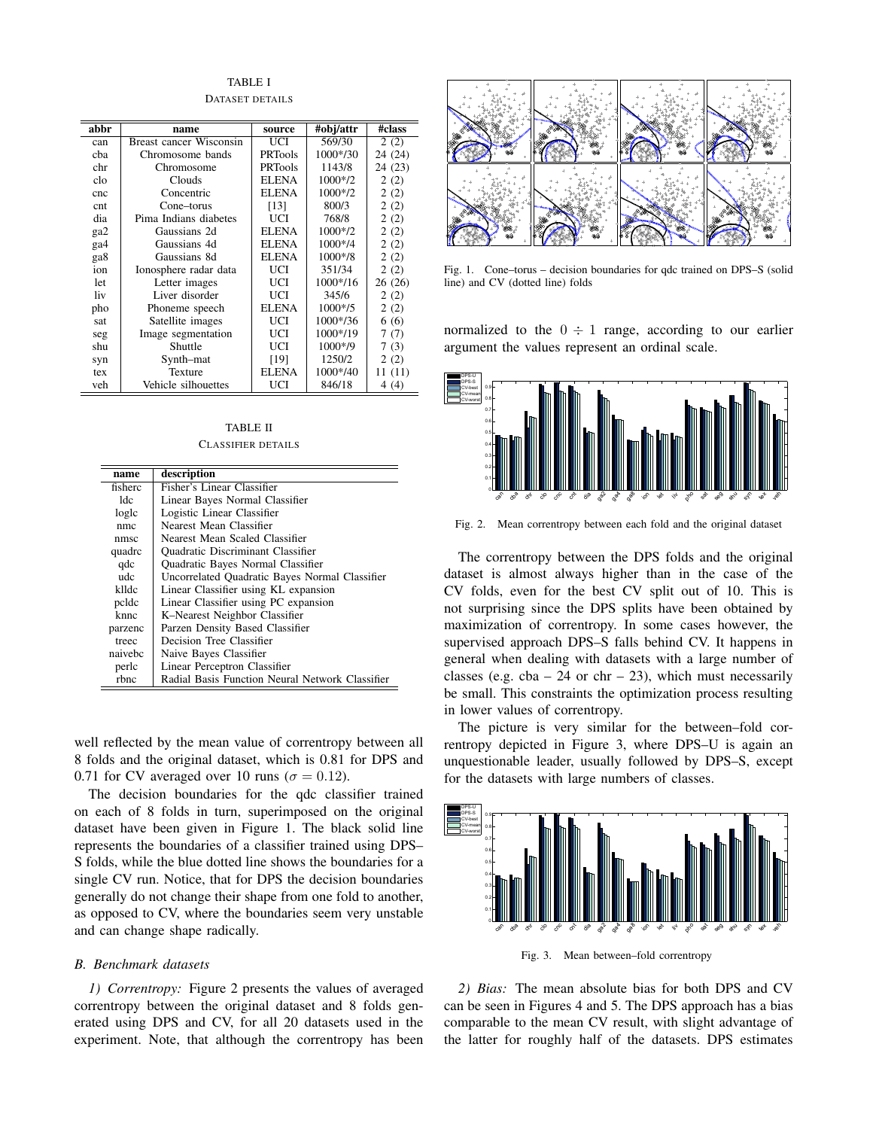TABLE I

| abbr | name                           | source         | #obj/attr    | #class  |
|------|--------------------------------|----------------|--------------|---------|
| can  | <b>Breast cancer Wisconsin</b> | UCI            | 569/30       | 2(2)    |
| cha  | Chromosome bands               | <b>PRTools</b> | 1000*/30     | 24 (24) |
| chr  | Chromosome                     | PRTools        | 1143/8       | 24 (23) |
| clo  | Clouds                         | <b>ELENA</b>   | $1000*/2$    | 2(2)    |
| cnc  | Concentric                     | ELENA          | $1000*/2$    | 2(2)    |
| cnt  | Cone–torus                     | [13]           | 800/3        | 2(2)    |
| dia  | Pima Indians diabetes          | UCI            | 768/8        | 2(2)    |
| ga2  | Gaussians 2d                   | ELENA          | $1000*/2$    | 2(2)    |
| ga4  | Gaussians 4d                   | ELENA          | $1000*74$    | 2(2)    |
| ga8  | Gaussians 8d                   | <b>ELENA</b>   | $1000*$ /8   | 2(2)    |
| ion  | Ionosphere radar data          | UCI            | 351/34       | 2(2)    |
| let  | Letter images                  | UCI            | 1000*/16     | 26(26)  |
| liv  | Liver disorder                 | UCI            | 345/6        | 2(2)    |
| pho  | Phoneme speech                 | ELENA          | $1000*/5$    | 2(2)    |
| sat  | Satellite images               | UCI            | $1000* / 36$ | 6(6)    |
| seg  | Image segmentation             | UCI            | 1000*/19     | 7(7)    |
| shu  | Shuttle                        | UCI            | $1000*$ /9   | 7(3)    |
| syn  | Synth-mat                      | [19]           | 1250/2       | 2(2)    |
| tex  | Texture                        | ELENA          | 1000*/40     | 11 (11) |
| veh  | Vehicle silhouettes            | UCI            | 846/18       | 4(4)    |

TABLE II CLASSIFIER DETAILS

| name    | description                                     |
|---------|-------------------------------------------------|
| fisherc | Fisher's Linear Classifier                      |
| 1de.    | Linear Bayes Normal Classifier                  |
| logle   | Logistic Linear Classifier                      |
| nmc     | Nearest Mean Classifier                         |
| nmsc    | Nearest Mean Scaled Classifier                  |
| quadrc  | <b>Ouadratic Discriminant Classifier</b>        |
| qdc     | Quadratic Bayes Normal Classifier               |
| ude     | Uncorrelated Quadratic Bayes Normal Classifier  |
| klldc   | Linear Classifier using KL expansion            |
| pcldc   | Linear Classifier using PC expansion            |
| knnc    | K-Nearest Neighbor Classifier                   |
| parzenc | Parzen Density Based Classifier                 |
| treec   | Decision Tree Classifier                        |
| naivebc | Naive Bayes Classifier                          |
| perlc   | Linear Perceptron Classifier                    |
| rbnc    | Radial Basis Function Neural Network Classifier |

well reflected by the mean value of correntropy between all 8 folds and the original dataset, which is 0.81 for DPS and 0.71 for CV averaged over 10 runs ( $\sigma = 0.12$ ).

The decision boundaries for the qdc classifier trained on each of 8 folds in turn, superimposed on the original dataset have been given in Figure 1. The black solid line represents the boundaries of a classifier trained using DPS– S folds, while the blue dotted line shows the boundaries for a single CV run. Notice, that for DPS the decision boundaries generally do not change their shape from one fold to another, as opposed to CV, where the boundaries seem very unstable and can change shape radically.

# *B. Benchmark datasets*

*1) Correntropy:* Figure 2 presents the values of averaged correntropy between the original dataset and 8 folds generated using DPS and CV, for all 20 datasets used in the experiment. Note, that although the correntropy has been



Fig. 1. Cone–torus – decision boundaries for qdc trained on DPS–S (solid line) and CV (dotted line) folds

normalized to the  $0 \div 1$  range, according to our earlier argument the values represent an ordinal scale.



Fig. 2. Mean correntropy between each fold and the original dataset

The correntropy between the DPS folds and the original dataset is almost always higher than in the case of the CV folds, even for the best CV split out of 10. This is not surprising since the DPS splits have been obtained by maximization of correntropy. In some cases however, the supervised approach DPS–S falls behind CV. It happens in general when dealing with datasets with a large number of classes (e.g.  $cba - 24$  or  $chr - 23$ ), which must necessarily be small. This constraints the optimization process resulting in lower values of correntropy.

The picture is very similar for the between–fold correntropy depicted in Figure 3, where DPS–U is again an unquestionable leader, usually followed by DPS–S, except for the datasets with large numbers of classes.



*2) Bias:* The mean absolute bias for both DPS and CV can be seen in Figures 4 and 5. The DPS approach has a bias comparable to the mean CV result, with slight advantage of the latter for roughly half of the datasets. DPS estimates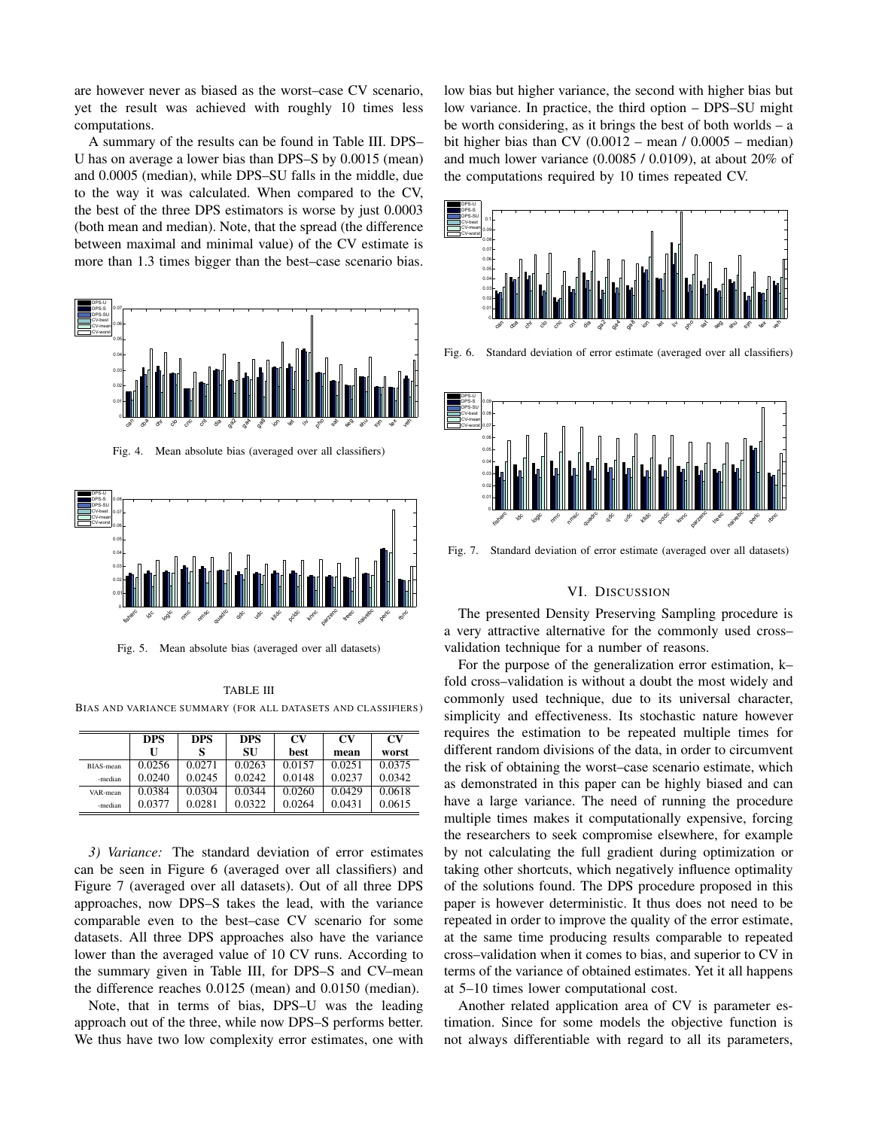are however never as biased as the worst–case CV scenario, yet the result was achieved with roughly 10 times less computations.

A summary of the results can be found in Table III. DPS– U has on average a lower bias than DPS–S by 0.0015 (mean) and 0.0005 (median), while DPS–SU falls in the middle, due to the way it was calculated. When compared to the CV, the best of the three DPS estimators is worse by just 0.0003 (both mean and median). Note, that the spread (the difference between maximal and minimal value) of the CV estimate is more than 1.3 times bigger than the best–case scenario bias.



Fig. 4. Mean absolute bias (averaged over all classifiers)



Fig. 5. Mean absolute bias (averaged over all datasets)

TABLE III BIAS AND VARIANCE SUMMARY (FOR ALL DATASETS AND CLASSIFIERS)

|           | <b>DPS</b> | <b>DPS</b> | <b>DPS</b> | CV     | CV     | CV     |
|-----------|------------|------------|------------|--------|--------|--------|
|           | U          |            | SU         | best   | mean   | worst  |
| BIAS-mean | 0.0256     | 0.0271     | 0.0263     | 0.0157 | 0.0251 | 0.0375 |
| -median   | 0.0240     | 0.0245     | 0.0242     | 0.0148 | 0.0237 | 0.0342 |
| VAR-mean  | 0.0384     | 0.0304     | 0.0344     | 0.0260 | 0.0429 | 0.0618 |
| -median   | 0.0377     | 0.0281     | 0.0322     | 0.0264 | 0.0431 | 0.0615 |

*3) Variance:* The standard deviation of error estimates can be seen in Figure 6 (averaged over all classifiers) and Figure 7 (averaged over all datasets). Out of all three DPS approaches, now DPS–S takes the lead, with the variance comparable even to the best–case CV scenario for some datasets. All three DPS approaches also have the variance lower than the averaged value of 10 CV runs. According to the summary given in Table III, for DPS–S and CV–mean the difference reaches 0.0125 (mean) and 0.0150 (median).

Note, that in terms of bias, DPS–U was the leading approach out of the three, while now DPS–S performs better. We thus have two low complexity error estimates, one with low bias but higher variance, the second with higher bias but low variance. In practice, the third option – DPS–SU might be worth considering, as it brings the best of both worlds – a bit higher bias than CV  $(0.0012 - \text{mean}/ 0.0005 - \text{median})$ and much lower variance (0.0085 / 0.0109), at about 20% of the computations required by 10 times repeated CV.



Fig. 6. Standard deviation of error estimate (averaged over all classifiers)



Fig. 7. Standard deviation of error estimate (averaged over all datasets)

## VI. DISCUSSION

The presented Density Preserving Sampling procedure is a very attractive alternative for the commonly used cross– validation technique for a number of reasons.

For the purpose of the generalization error estimation, k– fold cross–validation is without a doubt the most widely and commonly used technique, due to its universal character, simplicity and effectiveness. Its stochastic nature however requires the estimation to be repeated multiple times for different random divisions of the data, in order to circumvent the risk of obtaining the worst–case scenario estimate, which as demonstrated in this paper can be highly biased and can have a large variance. The need of running the procedure multiple times makes it computationally expensive, forcing the researchers to seek compromise elsewhere, for example by not calculating the full gradient during optimization or taking other shortcuts, which negatively influence optimality of the solutions found. The DPS procedure proposed in this paper is however deterministic. It thus does not need to be repeated in order to improve the quality of the error estimate, at the same time producing results comparable to repeated cross–validation when it comes to bias, and superior to CV in terms of the variance of obtained estimates. Yet it all happens at 5–10 times lower computational cost.

Another related application area of CV is parameter estimation. Since for some models the objective function is not always differentiable with regard to all its parameters,